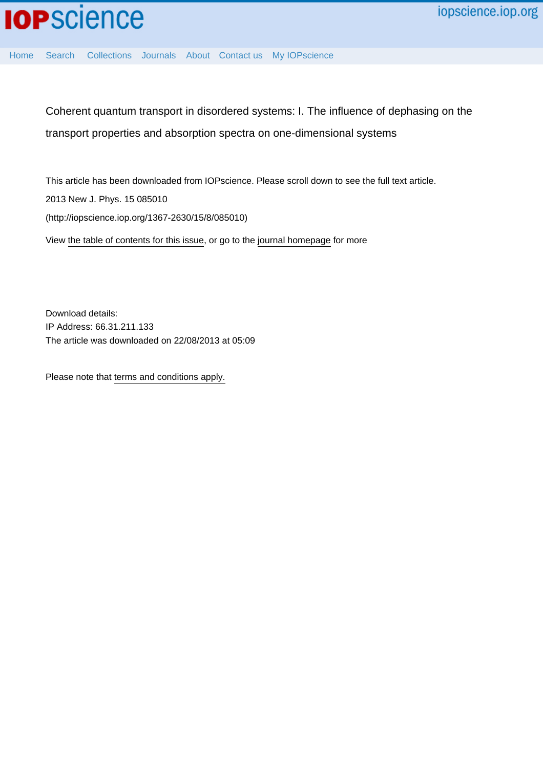

[Home](http://iopscience.iop.org/) [Search](http://iopscience.iop.org/search) [Collections](http://iopscience.iop.org/collections) [Journals](http://iopscience.iop.org/journals) [About](http://iopscience.iop.org/page/aboutioppublishing) [Contact us](http://iopscience.iop.org/contact) [My IOPscience](http://iopscience.iop.org/myiopscience)

Coherent quantum transport in disordered systems: I. The influence of dephasing on the transport properties and absorption spectra on one-dimensional systems

This article has been downloaded from IOPscience. Please scroll down to see the full text article. 2013 New J. Phys. 15 085010 (http://iopscience.iop.org/1367-2630/15/8/085010) View [the table of contents for this issue](http://iopscience.iop.org/1367-2630/15/8), or go to the [journal homepage](http://iopscience.iop.org/1367-2630) for more

Download details: IP Address: 66.31.211.133 The article was downloaded on 22/08/2013 at 05:09

Please note that [terms and conditions apply.](http://iopscience.iop.org/page/terms)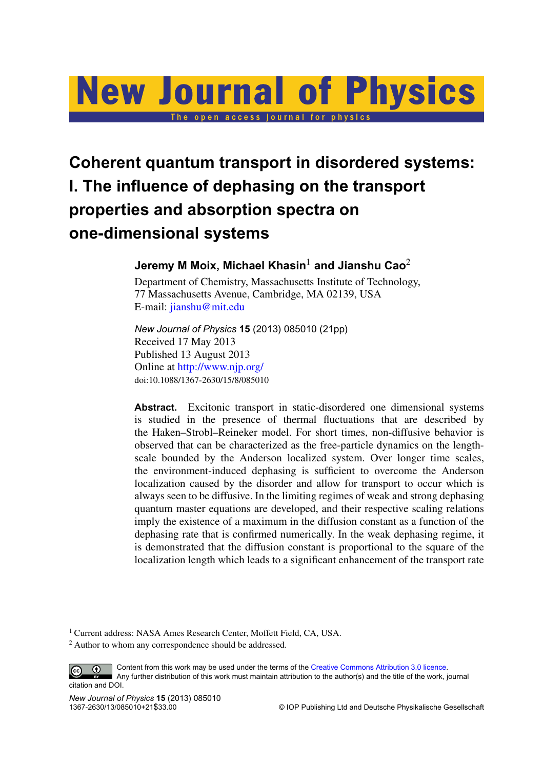# **New Journal of Physics** The open access journal for physic

## **Coherent quantum transport in disordered systems: I. The influence of dephasing on the transport properties and absorption spectra on one-dimensional systems**

### **Jeremy M Moix, Michael Khasin**<sup>1</sup> **and Jianshu Cao**<sup>2</sup>

Department of Chemistry, Massachusetts Institute of Technology, 77 Massachusetts Avenue, Cambridge, MA 02139, USA E-mail: [jianshu@mit.edu](mailto:jianshu@mit.edu)

*New Journal of Physics* **15** (2013) 085010 (21pp) Received 17 May 2013 Published 13 August 2013 Online at <http://www.njp.org/> doi:10.1088/1367-2630/15/8/085010

Abstract. Excitonic transport in static-disordered one dimensional systems is studied in the presence of thermal fluctuations that are described by the Haken–Strobl–Reineker model. For short times, non-diffusive behavior is observed that can be characterized as the free-particle dynamics on the lengthscale bounded by the Anderson localized system. Over longer time scales, the environment-induced dephasing is sufficient to overcome the Anderson localization caused by the disorder and allow for transport to occur which is always seen to be diffusive. In the limiting regimes of weak and strong dephasing quantum master equations are developed, and their respective scaling relations imply the existence of a maximum in the diffusion constant as a function of the dephasing rate that is confirmed numerically. In the weak dephasing regime, it is demonstrated that the diffusion constant is proportional to the square of the localization length which leads to a significant enhancement of the transport rate

Content from this work may be used under the terms of the [Creative Commons Attribution 3.0 licence.](http://creativecommons.org/licenses/by/3.0) ⊕  $\left($ cc Any further distribution of this work must maintain attribution to the author(s) and the title of the work, journal citation and DOI.

<sup>&</sup>lt;sup>1</sup> Current address: NASA Ames Research Center, Moffett Field, CA, USA.

<sup>2</sup> Author to whom any correspondence should be addressed.

*New Journal of Physics* **15** (2013) 085010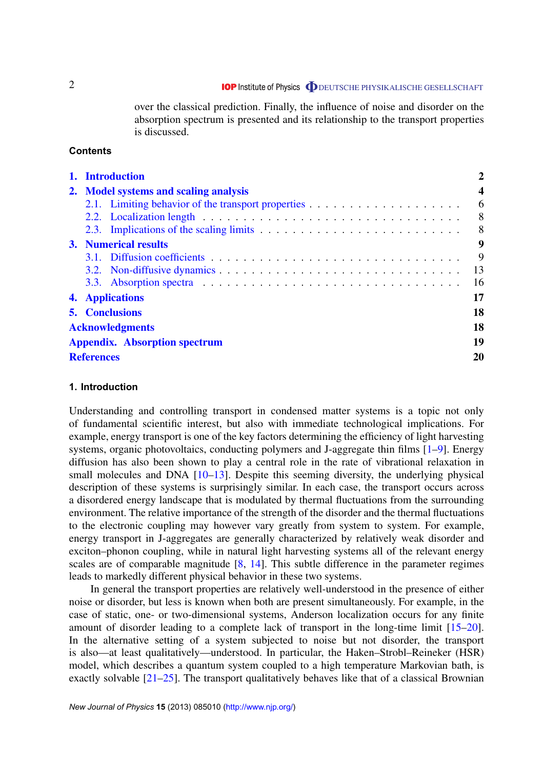over the classical prediction. Finally, the influence of noise and disorder on the absorption spectrum is presented and its relationship to the transport properties is discussed.

#### **Contents**

| 1. Introduction                                                                                               |                         |
|---------------------------------------------------------------------------------------------------------------|-------------------------|
| 2. Model systems and scaling analysis                                                                         | $\overline{\mathbf{4}}$ |
|                                                                                                               | 6                       |
|                                                                                                               | - 8                     |
|                                                                                                               | 8 <sup>8</sup>          |
| 3. Numerical results                                                                                          | 9                       |
|                                                                                                               | 9                       |
|                                                                                                               | 13                      |
| 3.3. Absorption spectra $\dots \dots \dots \dots \dots \dots \dots \dots \dots \dots \dots \dots \dots \dots$ | 16                      |
| 4. Applications                                                                                               | 17                      |
| <b>5. Conclusions</b>                                                                                         | 18                      |
| <b>Acknowledgments</b>                                                                                        |                         |
| <b>Appendix.</b> Absorption spectrum                                                                          | 19                      |
| <b>References</b>                                                                                             |                         |

#### **1. Introduction**

Understanding and controlling transport in condensed matter systems is a topic not only of fundamental scientific interest, but also with immediate technological implications. For example, energy transport is one of the key factors determining the efficiency of light harvesting systems, organic photovoltaics, conducting polymers and J-aggregate thin films [\[1–9\]](#page-20-0). Energy diffusion has also been shown to play a central role in the rate of vibrational relaxation in small molecules and DNA  $[10-13]$ . Despite this seeming diversity, the underlying physical description of these systems is surprisingly similar. In each case, the transport occurs across a disordered energy landscape that is modulated by thermal fluctuations from the surrounding environment. The relative importance of the strength of the disorder and the thermal fluctuations to the electronic coupling may however vary greatly from system to system. For example, energy transport in J-aggregates are generally characterized by relatively weak disorder and exciton–phonon coupling, while in natural light harvesting systems all of the relevant energy scales are of comparable magnitude [\[8,](#page-20-0) [14\]](#page-20-0). This subtle difference in the parameter regimes leads to markedly different physical behavior in these two systems.

In general the transport properties are relatively well-understood in the presence of either noise or disorder, but less is known when both are present simultaneously. For example, in the case of static, one- or two-dimensional systems, Anderson localization occurs for any finite amount of disorder leading to a complete lack of transport in the long-time limit [\[15–20\]](#page-20-0). In the alternative setting of a system subjected to noise but not disorder, the transport is also—at least qualitatively—understood. In particular, the Haken–Strobl–Reineker (HSR) model, which describes a quantum system coupled to a high temperature Markovian bath, is exactly solvable [\[21–25\]](#page-20-0). The transport qualitatively behaves like that of a classical Brownian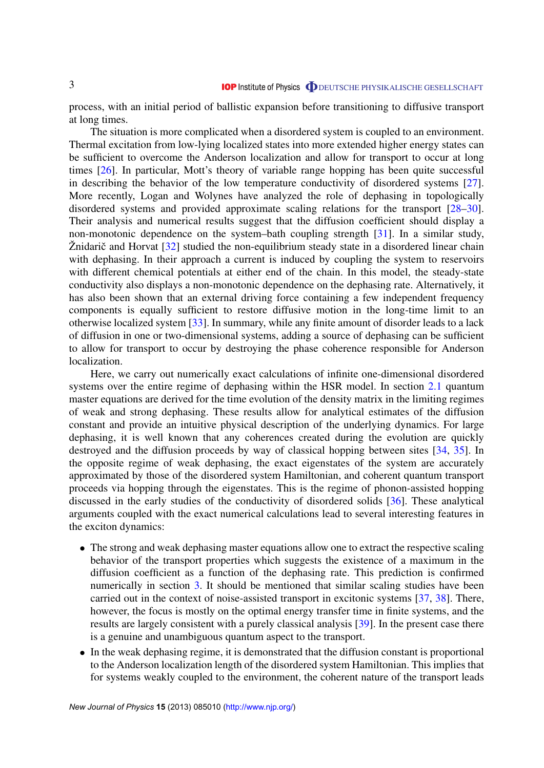process, with an initial period of ballistic expansion before transitioning to diffusive transport at long times.

The situation is more complicated when a disordered system is coupled to an environment. Thermal excitation from low-lying localized states into more extended higher energy states can be sufficient to overcome the Anderson localization and allow for transport to occur at long times [\[26\]](#page-20-0). In particular, Mott's theory of variable range hopping has been quite successful in describing the behavior of the low temperature conductivity of disordered systems [\[27\]](#page-20-0). More recently, Logan and Wolynes have analyzed the role of dephasing in topologically disordered systems and provided approximate scaling relations for the transport [\[28–30\]](#page-20-0). Their analysis and numerical results suggest that the diffusion coefficient should display a non-monotonic dependence on the system–bath coupling strength [\[31\]](#page-20-0). In a similar study, Žnidarič and Horvat [[32\]](#page-21-0) studied the non-equilibrium steady state in a disordered linear chain with dephasing. In their approach a current is induced by coupling the system to reservoirs with different chemical potentials at either end of the chain. In this model, the steady-state conductivity also displays a non-monotonic dependence on the dephasing rate. Alternatively, it has also been shown that an external driving force containing a few independent frequency components is equally sufficient to restore diffusive motion in the long-time limit to an otherwise localized system [\[33\]](#page-21-0). In summary, while any finite amount of disorder leads to a lack of diffusion in one or two-dimensional systems, adding a source of dephasing can be sufficient to allow for transport to occur by destroying the phase coherence responsible for Anderson localization.

Here, we carry out numerically exact calculations of infinite one-dimensional disordered systems over the entire regime of dephasing within the HSR model. In section [2.1](#page-6-0) quantum master equations are derived for the time evolution of the density matrix in the limiting regimes of weak and strong dephasing. These results allow for analytical estimates of the diffusion constant and provide an intuitive physical description of the underlying dynamics. For large dephasing, it is well known that any coherences created during the evolution are quickly destroyed and the diffusion proceeds by way of classical hopping between sites [\[34,](#page-21-0) [35\]](#page-21-0). In the opposite regime of weak dephasing, the exact eigenstates of the system are accurately approximated by those of the disordered system Hamiltonian, and coherent quantum transport proceeds via hopping through the eigenstates. This is the regime of phonon-assisted hopping discussed in the early studies of the conductivity of disordered solids [\[36\]](#page-21-0). These analytical arguments coupled with the exact numerical calculations lead to several interesting features in the exciton dynamics:

- The strong and weak dephasing master equations allow one to extract the respective scaling behavior of the transport properties which suggests the existence of a maximum in the diffusion coefficient as a function of the dephasing rate. This prediction is confirmed numerically in section [3.](#page-9-0) It should be mentioned that similar scaling studies have been carried out in the context of noise-assisted transport in excitonic systems [\[37,](#page-21-0) [38\]](#page-21-0). There, however, the focus is mostly on the optimal energy transfer time in finite systems, and the results are largely consistent with a purely classical analysis [\[39\]](#page-21-0). In the present case there is a genuine and unambiguous quantum aspect to the transport.
- In the weak dephasing regime, it is demonstrated that the diffusion constant is proportional to the Anderson localization length of the disordered system Hamiltonian. This implies that for systems weakly coupled to the environment, the coherent nature of the transport leads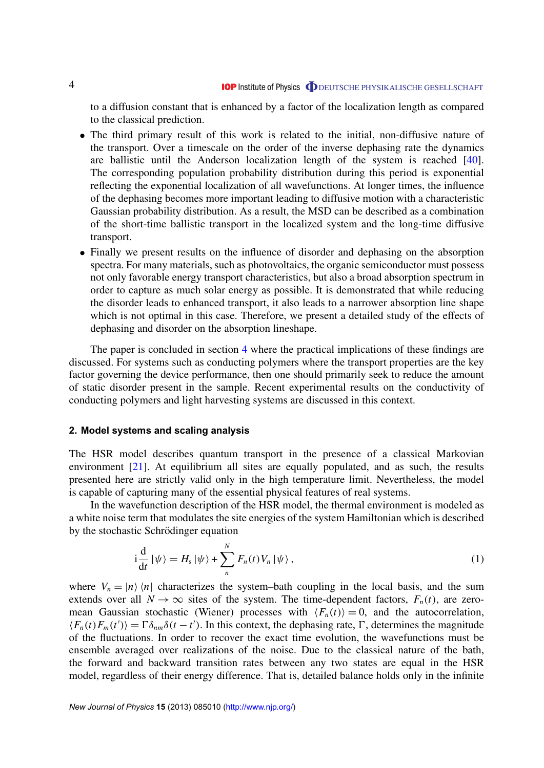<span id="page-4-0"></span>to a diffusion constant that is enhanced by a factor of the localization length as compared to the classical prediction.

- The third primary result of this work is related to the initial, non-diffusive nature of the transport. Over a timescale on the order of the inverse dephasing rate the dynamics are ballistic until the Anderson localization length of the system is reached [\[40\]](#page-21-0). The corresponding population probability distribution during this period is exponential reflecting the exponential localization of all wavefunctions. At longer times, the influence of the dephasing becomes more important leading to diffusive motion with a characteristic Gaussian probability distribution. As a result, the MSD can be described as a combination of the short-time ballistic transport in the localized system and the long-time diffusive transport.
- Finally we present results on the influence of disorder and dephasing on the absorption spectra. For many materials, such as photovoltaics, the organic semiconductor must possess not only favorable energy transport characteristics, but also a broad absorption spectrum in order to capture as much solar energy as possible. It is demonstrated that while reducing the disorder leads to enhanced transport, it also leads to a narrower absorption line shape which is not optimal in this case. Therefore, we present a detailed study of the effects of dephasing and disorder on the absorption lineshape.

The paper is concluded in section [4](#page-17-0) where the practical implications of these findings are discussed. For systems such as conducting polymers where the transport properties are the key factor governing the device performance, then one should primarily seek to reduce the amount of static disorder present in the sample. Recent experimental results on the conductivity of conducting polymers and light harvesting systems are discussed in this context.

#### **2. Model systems and scaling analysis**

The HSR model describes quantum transport in the presence of a classical Markovian environment  $[21]$ . At equilibrium all sites are equally populated, and as such, the results presented here are strictly valid only in the high temperature limit. Nevertheless, the model is capable of capturing many of the essential physical features of real systems.

In the wavefunction description of the HSR model, the thermal environment is modeled as a white noise term that modulates the site energies of the system Hamiltonian which is described by the stochastic Schrödinger equation

$$
i\frac{d}{dt}|\psi\rangle = H_s|\psi\rangle + \sum_{n}^{N} F_n(t)V_n|\psi\rangle, \qquad (1)
$$

where  $V_n = |n\rangle \langle n|$  characterizes the system–bath coupling in the local basis, and the sum extends over all  $N \to \infty$  sites of the system. The time-dependent factors,  $F_n(t)$ , are zeromean Gaussian stochastic (Wiener) processes with  $\langle F_n(t) \rangle = 0$ , and the autocorrelation,  $\langle F_n(t) F_m(t') \rangle = \Gamma \delta_{nm} \delta(t-t')$ . In this context, the dephasing rate,  $\Gamma$ , determines the magnitude of the fluctuations. In order to recover the exact time evolution, the wavefunctions must be ensemble averaged over realizations of the noise. Due to the classical nature of the bath, the forward and backward transition rates between any two states are equal in the HSR model, regardless of their energy difference. That is, detailed balance holds only in the infinite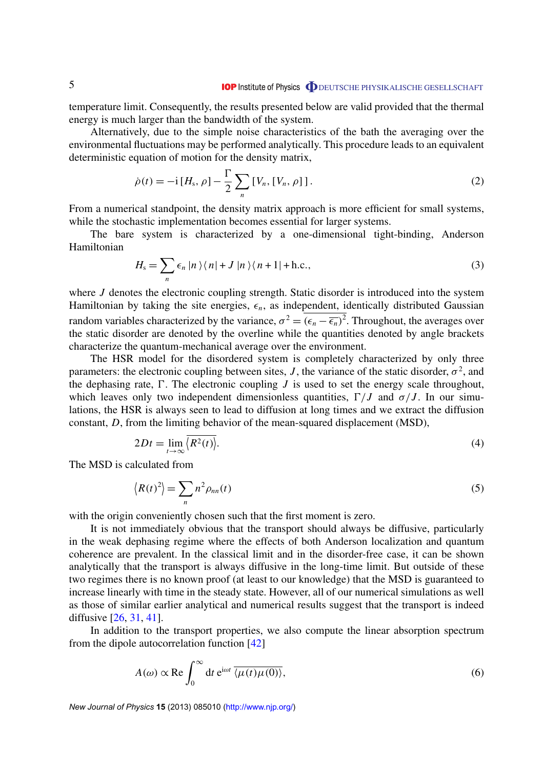<span id="page-5-0"></span>temperature limit. Consequently, the results presented below are valid provided that the thermal energy is much larger than the bandwidth of the system.

Alternatively, due to the simple noise characteristics of the bath the averaging over the environmental fluctuations may be performed analytically. This procedure leads to an equivalent deterministic equation of motion for the density matrix,

$$
\dot{\rho}(t) = -i[H_s, \rho] - \frac{\Gamma}{2} \sum_{n} [V_n, [V_n, \rho]]. \tag{2}
$$

From a numerical standpoint, the density matrix approach is more efficient for small systems, while the stochastic implementation becomes essential for larger systems.

The bare system is characterized by a one-dimensional tight-binding, Anderson Hamiltonian

$$
H_{\rm s} = \sum_{n} \epsilon_n \left| n \right. \rangle \langle n| + J \left| n \right. \rangle \langle n + 1| + \text{h.c.}, \tag{3}
$$

where *J* denotes the electronic coupling strength. Static disorder is introduced into the system Hamiltonian by taking the site energies,  $\epsilon_n$ , as independent, identically distributed Gaussian random variables characterized by the variance,  $\sigma^2 = (\epsilon_n - \overline{\epsilon_n})^2$ . Throughout, the averages over the static disorder are denoted by the overline while the quantities denoted by angle brackets characterize the quantum-mechanical average over the environment.

The HSR model for the disordered system is completely characterized by only three parameters: the electronic coupling between sites, *J*, the variance of the static disorder,  $\sigma^2$ , and the dephasing rate,  $\Gamma$ . The electronic coupling  $J$  is used to set the energy scale throughout, which leaves only two independent dimensionless quantities,  $\Gamma/J$  and  $\sigma/J$ . In our simulations, the HSR is always seen to lead to diffusion at long times and we extract the diffusion constant, *D*, from the limiting behavior of the mean-squared displacement (MSD),

$$
2Dt = \lim_{t \to \infty} \overline{\langle R^2(t) \rangle}.
$$
 (4)

The MSD is calculated from

$$
\langle R(t)^2 \rangle = \sum_n n^2 \rho_{nn}(t) \tag{5}
$$

with the origin conveniently chosen such that the first moment is zero.

It is not immediately obvious that the transport should always be diffusive, particularly in the weak dephasing regime where the effects of both Anderson localization and quantum coherence are prevalent. In the classical limit and in the disorder-free case, it can be shown analytically that the transport is always diffusive in the long-time limit. But outside of these two regimes there is no known proof (at least to our knowledge) that the MSD is guaranteed to increase linearly with time in the steady state. However, all of our numerical simulations as well as those of similar earlier analytical and numerical results suggest that the transport is indeed diffusive [\[26,](#page-20-0) [31,](#page-20-0) [41\]](#page-21-0).

In addition to the transport properties, we also compute the linear absorption spectrum from the dipole autocorrelation function [\[42\]](#page-21-0)

$$
A(\omega) \propto \text{Re} \int_0^\infty dt \, e^{i\omega t} \, \overline{\langle \mu(t)\mu(0) \rangle},\tag{6}
$$

*New Journal of Physics* **15** (2013) 085010 [\(http://www.njp.org/\)](http://www.njp.org/)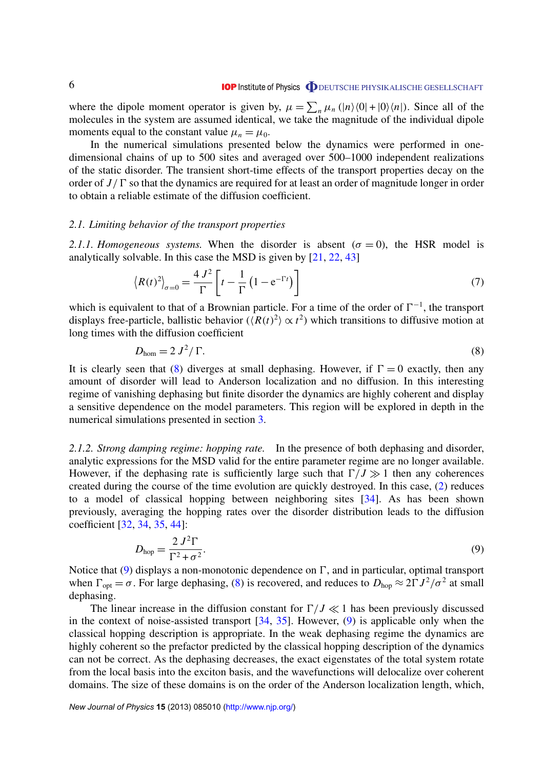<span id="page-6-0"></span>where the dipole moment operator is given by,  $\mu = \sum_{n} \mu_n (|n\rangle \langle 0| + |0\rangle \langle n|)$ . Since all of the molecules in the system are assumed identical, we take the magnitude of the individual dipole moments equal to the constant value  $\mu_n = \mu_0$ .

In the numerical simulations presented below the dynamics were performed in onedimensional chains of up to 500 sites and averaged over 500–1000 independent realizations of the static disorder. The transient short-time effects of the transport properties decay on the order of  $J/\Gamma$  so that the dynamics are required for at least an order of magnitude longer in order to obtain a reliable estimate of the diffusion coefficient.

#### *2.1. Limiting behavior of the transport properties*

2.1.1. Homogeneous systems. When the disorder is absent  $(\sigma = 0)$ , the HSR model is analytically solvable. In this case the MSD is given by [\[21,](#page-20-0) [22,](#page-20-0) [43\]](#page-21-0)

$$
\left\langle R(t)^2 \right\rangle_{\sigma=0} = \frac{4 J^2}{\Gamma} \left[ t - \frac{1}{\Gamma} \left( 1 - e^{-\Gamma t} \right) \right] \tag{7}
$$

which is equivalent to that of a Brownian particle. For a time of the order of  $\Gamma^{-1}$ , the transport displays free-particle, ballistic behavior  $(\langle R(t)^2 \rangle \propto t^2)$  which transitions to diffusive motion at long times with the diffusion coefficient

$$
D_{\text{hom}} = 2 J^2 / \Gamma. \tag{8}
$$

It is clearly seen that (8) diverges at small dephasing. However, if  $\Gamma = 0$  exactly, then any amount of disorder will lead to Anderson localization and no diffusion. In this interesting regime of vanishing dephasing but finite disorder the dynamics are highly coherent and display a sensitive dependence on the model parameters. This region will be explored in depth in the numerical simulations presented in section [3.](#page-9-0)

*2.1.2. Strong damping regime: hopping rate.* In the presence of both dephasing and disorder, analytic expressions for the MSD valid for the entire parameter regime are no longer available. However, if the dephasing rate is sufficiently large such that  $\Gamma/J \gg 1$  then any coherences created during the course of the time evolution are quickly destroyed. In this case, [\(2\)](#page-5-0) reduces to a model of classical hopping between neighboring sites [\[34\]](#page-21-0). As has been shown previously, averaging the hopping rates over the disorder distribution leads to the diffusion coefficient [\[32,](#page-21-0) [34,](#page-21-0) [35,](#page-21-0) [44\]](#page-21-0):

$$
D_{\text{hop}} = \frac{2 J^2 \Gamma}{\Gamma^2 + \sigma^2}.
$$
\n<sup>(9)</sup>

Notice that (9) displays a non-monotonic dependence on  $\Gamma$ , and in particular, optimal transport when  $\Gamma_{opt} = \sigma$ . For large dephasing, (8) is recovered, and reduces to  $D_{hop} \approx 2\Gamma J^2/\sigma^2$  at small dephasing.

The linear increase in the diffusion constant for  $\Gamma/J \ll 1$  has been previously discussed in the context of noise-assisted transport [\[34,](#page-21-0) [35\]](#page-21-0). However, (9) is applicable only when the classical hopping description is appropriate. In the weak dephasing regime the dynamics are highly coherent so the prefactor predicted by the classical hopping description of the dynamics can not be correct. As the dephasing decreases, the exact eigenstates of the total system rotate from the local basis into the exciton basis, and the wavefunctions will delocalize over coherent domains. The size of these domains is on the order of the Anderson localization length, which,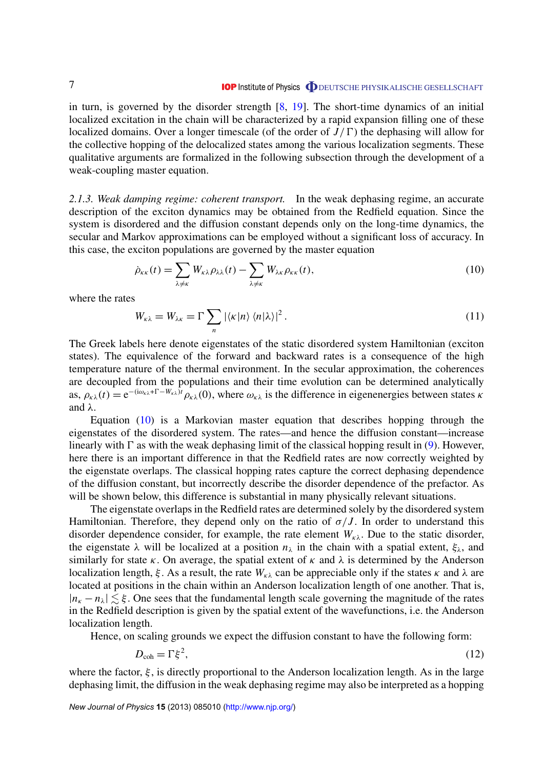<span id="page-7-0"></span>in turn, is governed by the disorder strength [\[8,](#page-20-0) [19\]](#page-20-0). The short-time dynamics of an initial localized excitation in the chain will be characterized by a rapid expansion filling one of these localized domains. Over a longer timescale (of the order of  $J/\Gamma$ ) the dephasing will allow for the collective hopping of the delocalized states among the various localization segments. These qualitative arguments are formalized in the following subsection through the development of a weak-coupling master equation.

*2.1.3. Weak damping regime: coherent transport.* In the weak dephasing regime, an accurate description of the exciton dynamics may be obtained from the Redfield equation. Since the system is disordered and the diffusion constant depends only on the long-time dynamics, the secular and Markov approximations can be employed without a significant loss of accuracy. In this case, the exciton populations are governed by the master equation

$$
\dot{\rho}_{\kappa\kappa}(t) = \sum_{\lambda \neq \kappa} W_{\kappa\lambda} \rho_{\lambda\lambda}(t) - \sum_{\lambda \neq \kappa} W_{\lambda\kappa} \rho_{\kappa\kappa}(t), \tag{10}
$$

where the rates

$$
W_{\kappa\lambda} = W_{\lambda\kappa} = \Gamma \sum_{n} |\langle \kappa | n \rangle \langle n | \lambda \rangle|^2.
$$
 (11)

The Greek labels here denote eigenstates of the static disordered system Hamiltonian (exciton states). The equivalence of the forward and backward rates is a consequence of the high temperature nature of the thermal environment. In the secular approximation, the coherences are decoupled from the populations and their time evolution can be determined analytically as,  $\rho_{k\lambda}(t) = e^{-(i\omega_{k\lambda} + \Gamma - W_{k\lambda})t} \rho_{k\lambda}(0)$ , where  $\omega_{k\lambda}$  is the difference in eigenenergies between states k and  $λ$ .

Equation (10) is a Markovian master equation that describes hopping through the eigenstates of the disordered system. The rates—and hence the diffusion constant—increase linearly with  $\Gamma$  as with the weak dephasing limit of the classical hopping result in [\(9\)](#page-6-0). However, here there is an important difference in that the Redfield rates are now correctly weighted by the eigenstate overlaps. The classical hopping rates capture the correct dephasing dependence of the diffusion constant, but incorrectly describe the disorder dependence of the prefactor. As will be shown below, this difference is substantial in many physically relevant situations.

The eigenstate overlaps in the Redfield rates are determined solely by the disordered system Hamiltonian. Therefore, they depend only on the ratio of  $\sigma/J$ . In order to understand this disorder dependence consider, for example, the rate element  $W_{k\lambda}$ . Due to the static disorder, the eigenstate  $\lambda$  will be localized at a position  $n_{\lambda}$  in the chain with a spatial extent,  $\xi_{\lambda}$ , and similarly for state  $\kappa$ . On average, the spatial extent of  $\kappa$  and  $\lambda$  is determined by the Anderson localization length,  $\xi$ . As a result, the rate  $W_{\kappa\lambda}$  can be appreciable only if the states  $\kappa$  and  $\lambda$  are located at positions in the chain within an Anderson localization length of one another. That is,  $|n_{k} - n_{\lambda}| \lesssim \xi$ . One sees that the fundamental length scale governing the magnitude of the rates in the Redfield description is given by the spatial extent of the wavefunctions, i.e. the Anderson localization length.

Hence, on scaling grounds we expect the diffusion constant to have the following form:

$$
D_{\rm coh} = \Gamma \xi^2,\tag{12}
$$

where the factor,  $\xi$ , is directly proportional to the Anderson localization length. As in the large dephasing limit, the diffusion in the weak dephasing regime may also be interpreted as a hopping

*New Journal of Physics* **15** (2013) 085010 [\(http://www.njp.org/\)](http://www.njp.org/)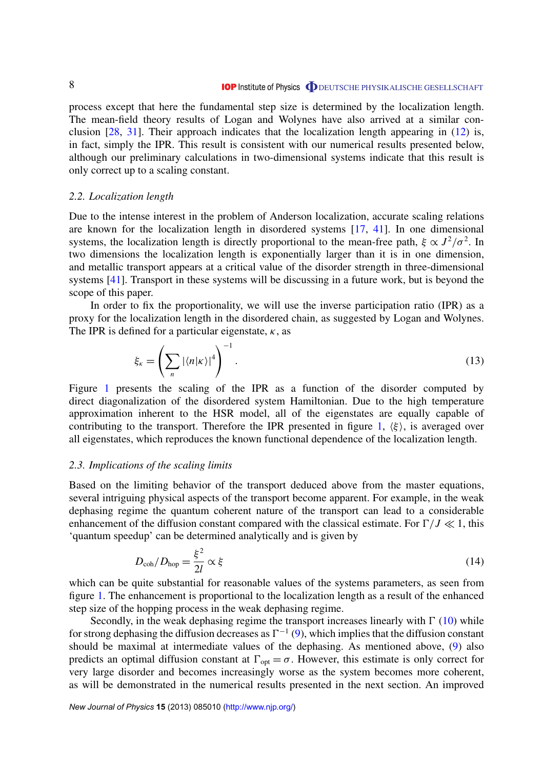<span id="page-8-0"></span>process except that here the fundamental step size is determined by the localization length. The mean-field theory results of Logan and Wolynes have also arrived at a similar conclusion  $[28, 31]$  $[28, 31]$  $[28, 31]$ . Their approach indicates that the localization length appearing in  $(12)$  is, in fact, simply the IPR. This result is consistent with our numerical results presented below, although our preliminary calculations in two-dimensional systems indicate that this result is only correct up to a scaling constant.

#### *2.2. Localization length*

Due to the intense interest in the problem of Anderson localization, accurate scaling relations are known for the localization length in disordered systems [\[17,](#page-20-0) [41\]](#page-21-0). In one dimensional systems, the localization length is directly proportional to the mean-free path,  $\xi \propto J^2/\sigma^2$ . In two dimensions the localization length is exponentially larger than it is in one dimension, and metallic transport appears at a critical value of the disorder strength in three-dimensional systems [\[41\]](#page-21-0). Transport in these systems will be discussing in a future work, but is beyond the scope of this paper.

In order to fix the proportionality, we will use the inverse participation ratio (IPR) as a proxy for the localization length in the disordered chain, as suggested by Logan and Wolynes. The IPR is defined for a particular eigenstate,  $\kappa$ , as

$$
\xi_{\kappa} = \left(\sum_{n} |\langle n|\kappa \rangle|^4\right)^{-1}.\tag{13}
$$

Figure [1](#page-9-0) presents the scaling of the IPR as a function of the disorder computed by direct diagonalization of the disordered system Hamiltonian. Due to the high temperature approximation inherent to the HSR model, all of the eigenstates are equally capable of contributing to the transport. Therefore the IPR presented in figure [1,](#page-9-0)  $\langle \xi \rangle$ , is averaged over all eigenstates, which reproduces the known functional dependence of the localization length.

#### *2.3. Implications of the scaling limits*

Based on the limiting behavior of the transport deduced above from the master equations, several intriguing physical aspects of the transport become apparent. For example, in the weak dephasing regime the quantum coherent nature of the transport can lead to a considerable enhancement of the diffusion constant compared with the classical estimate. For  $\Gamma/J \ll 1$ , this 'quantum speedup' can be determined analytically and is given by

$$
D_{\rm coh}/D_{\rm hop} = \frac{\xi^2}{2l} \propto \xi \tag{14}
$$

which can be quite substantial for reasonable values of the systems parameters, as seen from figure [1.](#page-9-0) The enhancement is proportional to the localization length as a result of the enhanced step size of the hopping process in the weak dephasing regime.

Secondly, in the weak dephasing regime the transport increases linearly with  $\Gamma$  [\(10\)](#page-7-0) while for strong dephasing the diffusion decreases as  $\Gamma^{-1}(9)$  $\Gamma^{-1}(9)$ , which implies that the diffusion constant should be maximal at intermediate values of the dephasing. As mentioned above, [\(9\)](#page-6-0) also predicts an optimal diffusion constant at  $\Gamma_{opt} = \sigma$ . However, this estimate is only correct for very large disorder and becomes increasingly worse as the system becomes more coherent, as will be demonstrated in the numerical results presented in the next section. An improved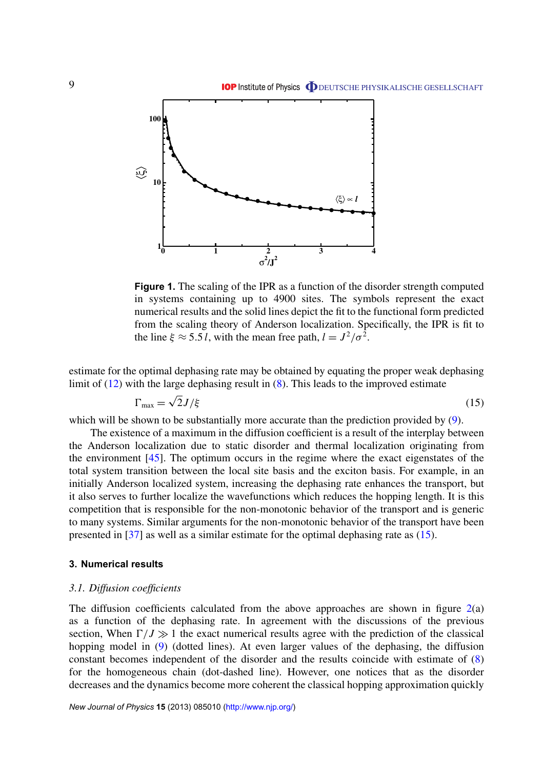<span id="page-9-0"></span>

**Figure 1.** The scaling of the IPR as a function of the disorder strength computed in systems containing up to 4900 sites. The symbols represent the exact numerical results and the solid lines depict the fit to the functional form predicted from the scaling theory of Anderson localization. Specifically, the IPR is fit to the line  $\xi \approx 5.5 l$ , with the mean free path,  $l = J^2/\sigma^2$ .

estimate for the optimal dephasing rate may be obtained by equating the proper weak dephasing limit of  $(12)$  with the large dephasing result in  $(8)$ . This leads to the improved estimate

$$
\Gamma_{\text{max}} = \sqrt{2}J/\xi \tag{15}
$$

which will be shown to be substantially more accurate than the prediction provided by [\(9\)](#page-6-0).

The existence of a maximum in the diffusion coefficient is a result of the interplay between the Anderson localization due to static disorder and thermal localization originating from the environment [\[45\]](#page-21-0). The optimum occurs in the regime where the exact eigenstates of the total system transition between the local site basis and the exciton basis. For example, in an initially Anderson localized system, increasing the dephasing rate enhances the transport, but it also serves to further localize the wavefunctions which reduces the hopping length. It is this competition that is responsible for the non-monotonic behavior of the transport and is generic to many systems. Similar arguments for the non-monotonic behavior of the transport have been presented in [\[37\]](#page-21-0) as well as a similar estimate for the optimal dephasing rate as (15).

#### **3. Numerical results**

#### *3.1. Diffusion coefficients*

The diffusion coefficients calculated from the above approaches are shown in figure  $2(a)$  $2(a)$ as a function of the dephasing rate. In agreement with the discussions of the previous section, When  $\Gamma/J \gg 1$  the exact numerical results agree with the prediction of the classical hopping model in [\(9\)](#page-6-0) (dotted lines). At even larger values of the dephasing, the diffusion constant becomes independent of the disorder and the results coincide with estimate of [\(8\)](#page-6-0) for the homogeneous chain (dot-dashed line). However, one notices that as the disorder decreases and the dynamics become more coherent the classical hopping approximation quickly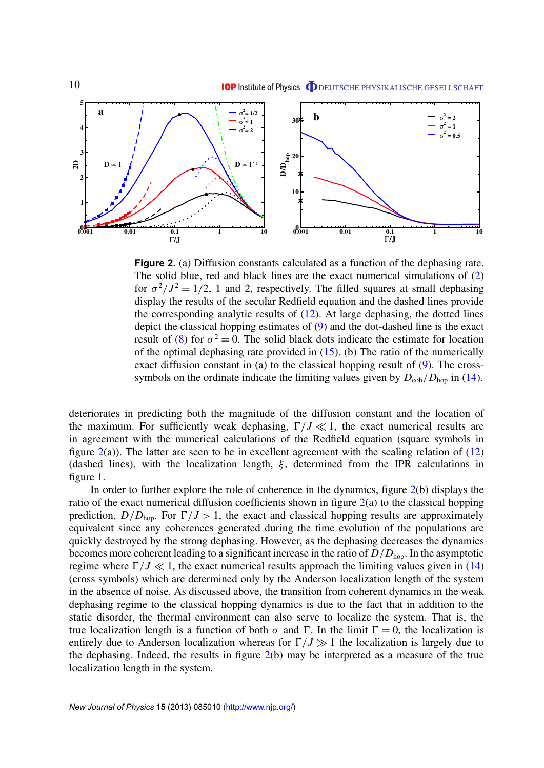<span id="page-10-0"></span>

**Figure 2.** (a) Diffusion constants calculated as a function of the dephasing rate. The solid blue, red and black lines are the exact numerical simulations of [\(2\)](#page-5-0) for  $\sigma^2/J^2 = 1/2$ , 1 and 2, respectively. The filled squares at small dephasing display the results of the secular Redfield equation and the dashed lines provide the corresponding analytic results of  $(12)$ . At large dephasing, the dotted lines depict the classical hopping estimates of [\(9\)](#page-6-0) and the dot-dashed line is the exact result of [\(8\)](#page-6-0) for  $\sigma^2 = 0$ . The solid black dots indicate the estimate for location of the optimal dephasing rate provided in  $(15)$ . (b) The ratio of the numerically exact diffusion constant in (a) to the classical hopping result of [\(9\)](#page-6-0). The crosssymbols on the ordinate indicate the limiting values given by  $D_{\rm coh}/D_{\rm hop}$  in [\(14\)](#page-8-0).

deteriorates in predicting both the magnitude of the diffusion constant and the location of the maximum. For sufficiently weak dephasing,  $\Gamma/J \ll 1$ , the exact numerical results are in agreement with the numerical calculations of the Redfield equation (square symbols in figure  $2(a)$ ). The latter are seen to be in excellent agreement with the scaling relation of  $(12)$ (dashed lines), with the localization length,  $\xi$ , determined from the IPR calculations in figure [1.](#page-9-0)

In order to further explore the role of coherence in the dynamics, figure  $2(b)$  displays the ratio of the exact numerical diffusion coefficients shown in figure  $2(a)$  to the classical hopping prediction,  $D/D_{\text{hon}}$ . For  $\Gamma/J > 1$ , the exact and classical hopping results are approximately equivalent since any coherences generated during the time evolution of the populations are quickly destroyed by the strong dephasing. However, as the dephasing decreases the dynamics becomes more coherent leading to a significant increase in the ratio of  $D/D<sub>hop</sub>$ . In the asymptotic regime where  $\Gamma/J \ll 1$ , the exact numerical results approach the limiting values given in [\(14\)](#page-8-0) (cross symbols) which are determined only by the Anderson localization length of the system in the absence of noise. As discussed above, the transition from coherent dynamics in the weak dephasing regime to the classical hopping dynamics is due to the fact that in addition to the static disorder, the thermal environment can also serve to localize the system. That is, the true localization length is a function of both  $\sigma$  and  $\Gamma$ . In the limit  $\Gamma = 0$ , the localization is entirely due to Anderson localization whereas for  $\Gamma/J \gg 1$  the localization is largely due to the dephasing. Indeed, the results in figure  $2(b)$  may be interpreted as a measure of the true localization length in the system.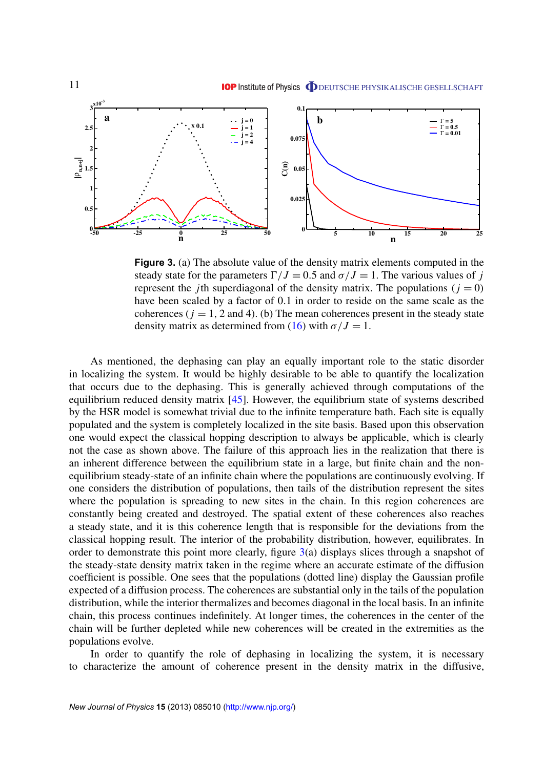<span id="page-11-0"></span>

**Figure 3.** (a) The absolute value of the density matrix elements computed in the steady state for the parameters  $\Gamma/J = 0.5$  and  $\sigma/J = 1$ . The various values of *j* represent the *j*th superdiagonal of the density matrix. The populations ( $j = 0$ ) have been scaled by a factor of 0.1 in order to reside on the same scale as the coherences ( $j = 1, 2$  and 4). (b) The mean coherences present in the steady state density matrix as determined from [\(16\)](#page-12-0) with  $\sigma/J = 1$ .

As mentioned, the dephasing can play an equally important role to the static disorder in localizing the system. It would be highly desirable to be able to quantify the localization that occurs due to the dephasing. This is generally achieved through computations of the equilibrium reduced density matrix [\[45\]](#page-21-0). However, the equilibrium state of systems described by the HSR model is somewhat trivial due to the infinite temperature bath. Each site is equally populated and the system is completely localized in the site basis. Based upon this observation one would expect the classical hopping description to always be applicable, which is clearly not the case as shown above. The failure of this approach lies in the realization that there is an inherent difference between the equilibrium state in a large, but finite chain and the nonequilibrium steady-state of an infinite chain where the populations are continuously evolving. If one considers the distribution of populations, then tails of the distribution represent the sites where the population is spreading to new sites in the chain. In this region coherences are constantly being created and destroyed. The spatial extent of these coherences also reaches a steady state, and it is this coherence length that is responsible for the deviations from the classical hopping result. The interior of the probability distribution, however, equilibrates. In order to demonstrate this point more clearly, figure 3(a) displays slices through a snapshot of the steady-state density matrix taken in the regime where an accurate estimate of the diffusion coefficient is possible. One sees that the populations (dotted line) display the Gaussian profile expected of a diffusion process. The coherences are substantial only in the tails of the population distribution, while the interior thermalizes and becomes diagonal in the local basis. In an infinite chain, this process continues indefinitely. At longer times, the coherences in the center of the chain will be further depleted while new coherences will be created in the extremities as the populations evolve.

In order to quantify the role of dephasing in localizing the system, it is necessary to characterize the amount of coherence present in the density matrix in the diffusive,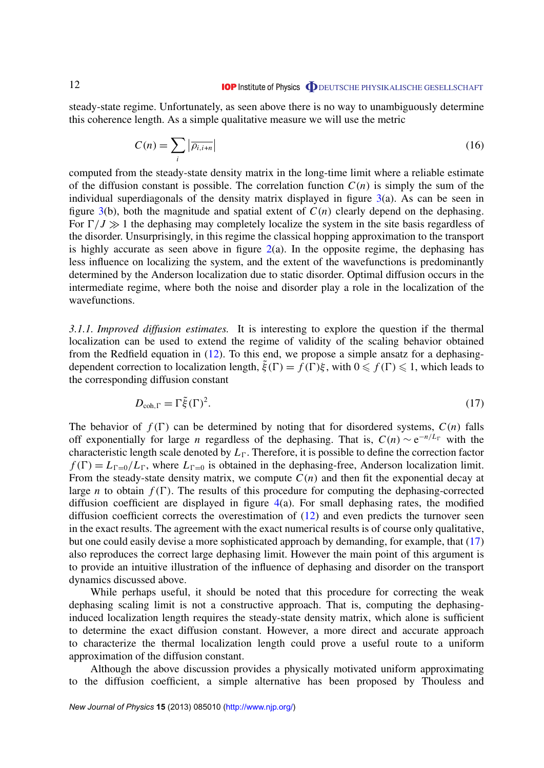<span id="page-12-0"></span>steady-state regime. Unfortunately, as seen above there is no way to unambiguously determine this coherence length. As a simple qualitative measure we will use the metric

$$
C(n) = \sum_{i} \left| \overline{\rho_{i,i+n}} \right| \tag{16}
$$

computed from the steady-state density matrix in the long-time limit where a reliable estimate of the diffusion constant is possible. The correlation function  $C(n)$  is simply the sum of the individual superdiagonals of the density matrix displayed in figure  $3(a)$  $3(a)$ . As can be seen in figure  $3(b)$  $3(b)$ , both the magnitude and spatial extent of  $C(n)$  clearly depend on the dephasing. For  $\Gamma/J \gg 1$  the dephasing may completely localize the system in the site basis regardless of the disorder. Unsurprisingly, in this regime the classical hopping approximation to the transport is highly accurate as seen above in figure  $2(a)$  $2(a)$ . In the opposite regime, the dephasing has less influence on localizing the system, and the extent of the wavefunctions is predominantly determined by the Anderson localization due to static disorder. Optimal diffusion occurs in the intermediate regime, where both the noise and disorder play a role in the localization of the wavefunctions.

*3.1.1. Improved diffusion estimates.* It is interesting to explore the question if the thermal localization can be used to extend the regime of validity of the scaling behavior obtained from the Redfield equation in  $(12)$ . To this end, we propose a simple ansatz for a dephasingdependent correction to localization length,  $\tilde{\xi}(\Gamma) = f(\Gamma)\xi$ , with  $0 \leq f(\Gamma) \leq 1$ , which leads to the corresponding diffusion constant

$$
D_{\text{coh},\Gamma} = \Gamma \tilde{\xi}(\Gamma)^2. \tag{17}
$$

The behavior of  $f(\Gamma)$  can be determined by noting that for disordered systems,  $C(n)$  falls off exponentially for large *n* regardless of the dephasing. That is,  $C(n) \sim e^{-n/L_{\Gamma}}$  with the characteristic length scale denoted by  $L_{\Gamma}$ . Therefore, it is possible to define the correction factor  $f(\Gamma) = L_{\Gamma=0}/L_{\Gamma}$ , where  $L_{\Gamma=0}$  is obtained in the dephasing-free, Anderson localization limit. From the steady-state density matrix, we compute  $C(n)$  and then fit the exponential decay at large *n* to obtain  $f(\Gamma)$ . The results of this procedure for computing the dephasing-corrected diffusion coefficient are displayed in figure  $4(a)$  $4(a)$ . For small dephasing rates, the modified diffusion coefficient corrects the overestimation of  $(12)$  and even predicts the turnover seen in the exact results. The agreement with the exact numerical results is of course only qualitative, but one could easily devise a more sophisticated approach by demanding, for example, that (17) also reproduces the correct large dephasing limit. However the main point of this argument is to provide an intuitive illustration of the influence of dephasing and disorder on the transport dynamics discussed above.

While perhaps useful, it should be noted that this procedure for correcting the weak dephasing scaling limit is not a constructive approach. That is, computing the dephasinginduced localization length requires the steady-state density matrix, which alone is sufficient to determine the exact diffusion constant. However, a more direct and accurate approach to characterize the thermal localization length could prove a useful route to a uniform approximation of the diffusion constant.

Although the above discussion provides a physically motivated uniform approximating to the diffusion coefficient, a simple alternative has been proposed by Thouless and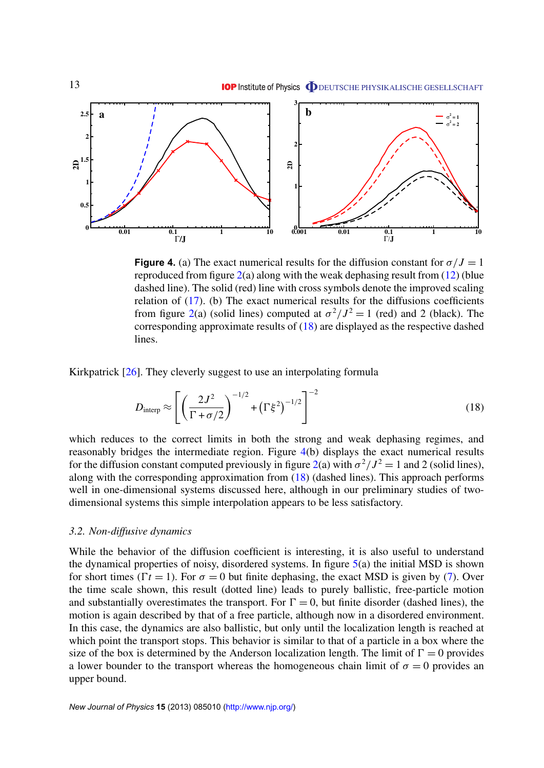<span id="page-13-0"></span>

**Figure 4.** (a) The exact numerical results for the diffusion constant for  $\sigma/J = 1$ reproduced from figure  $2(a)$  $2(a)$  along with the weak dephasing result from  $(12)$  (blue dashed line). The solid (red) line with cross symbols denote the improved scaling relation of [\(17\)](#page-12-0). (b) The exact numerical results for the diffusions coefficients from figure [2\(](#page-10-0)a) (solid lines) computed at  $\sigma^2/J^2 = 1$  (red) and 2 (black). The corresponding approximate results of (18) are displayed as the respective dashed lines.

Kirkpatrick [\[26\]](#page-20-0). They cleverly suggest to use an interpolating formula

$$
D_{\text{interp}} \approx \left[ \left( \frac{2J^2}{\Gamma + \sigma/2} \right)^{-1/2} + \left( \Gamma \xi^2 \right)^{-1/2} \right]^{-2} \tag{18}
$$

which reduces to the correct limits in both the strong and weak dephasing regimes, and reasonably bridges the intermediate region. Figure 4(b) displays the exact numerical results for the diffusion constant computed previously in figure [2\(](#page-10-0)a) with  $\sigma^2/J^2 = 1$  and 2 (solid lines), along with the corresponding approximation from (18) (dashed lines). This approach performs well in one-dimensional systems discussed here, although in our preliminary studies of twodimensional systems this simple interpolation appears to be less satisfactory.

#### *3.2. Non-diffusive dynamics*

While the behavior of the diffusion coefficient is interesting, it is also useful to understand the dynamical properties of noisy, disordered systems. In figure  $5(a)$  $5(a)$  the initial MSD is shown for short times ( $\Gamma t = 1$ ). For  $\sigma = 0$  but finite dephasing, the exact MSD is given by [\(7\)](#page-6-0). Over the time scale shown, this result (dotted line) leads to purely ballistic, free-particle motion and substantially overestimates the transport. For  $\Gamma = 0$ , but finite disorder (dashed lines), the motion is again described by that of a free particle, although now in a disordered environment. In this case, the dynamics are also ballistic, but only until the localization length is reached at which point the transport stops. This behavior is similar to that of a particle in a box where the size of the box is determined by the Anderson localization length. The limit of  $\Gamma = 0$  provides a lower bounder to the transport whereas the homogeneous chain limit of  $\sigma = 0$  provides an upper bound.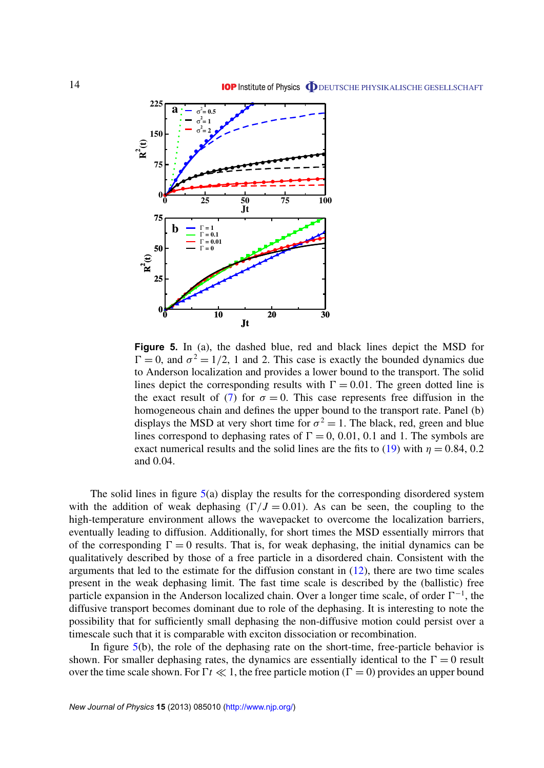<span id="page-14-0"></span>

**Figure 5.** In (a), the dashed blue, red and black lines depict the MSD for  $\Gamma = 0$ , and  $\sigma^2 = 1/2$ , 1 and 2. This case is exactly the bounded dynamics due to Anderson localization and provides a lower bound to the transport. The solid lines depict the corresponding results with  $\Gamma = 0.01$ . The green dotted line is the exact result of [\(7\)](#page-6-0) for  $\sigma = 0$ . This case represents free diffusion in the homogeneous chain and defines the upper bound to the transport rate. Panel (b) displays the MSD at very short time for  $\sigma^2 = 1$ . The black, red, green and blue lines correspond to dephasing rates of  $\Gamma = 0$ , 0.01, 0.1 and 1. The symbols are exact numerical results and the solid lines are the fits to [\(19\)](#page-15-0) with  $\eta = 0.84, 0.2$ and 0.04.

The solid lines in figure  $5(a)$  display the results for the corresponding disordered system with the addition of weak dephasing  $(\Gamma/J = 0.01)$ . As can be seen, the coupling to the high-temperature environment allows the wavepacket to overcome the localization barriers, eventually leading to diffusion. Additionally, for short times the MSD essentially mirrors that of the corresponding  $\Gamma = 0$  results. That is, for weak dephasing, the initial dynamics can be qualitatively described by those of a free particle in a disordered chain. Consistent with the arguments that led to the estimate for the diffusion constant in [\(12\)](#page-7-0), there are two time scales present in the weak dephasing limit. The fast time scale is described by the (ballistic) free particle expansion in the Anderson localized chain. Over a longer time scale, of order  $\Gamma^{-1}$ , the diffusive transport becomes dominant due to role of the dephasing. It is interesting to note the possibility that for sufficiently small dephasing the non-diffusive motion could persist over a timescale such that it is comparable with exciton dissociation or recombination.

In figure  $5(b)$ , the role of the dephasing rate on the short-time, free-particle behavior is shown. For smaller dephasing rates, the dynamics are essentially identical to the  $\Gamma = 0$  result over the time scale shown. For  $\Gamma t \ll 1$ , the free particle motion ( $\Gamma = 0$ ) provides an upper bound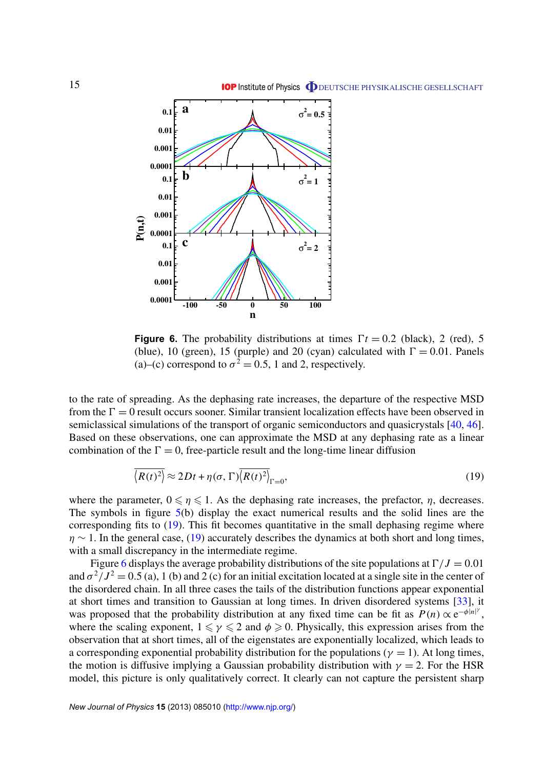<span id="page-15-0"></span>

**Figure 6.** The probability distributions at times  $\Gamma t = 0.2$  (black), 2 (red), 5 (blue), 10 (green), 15 (purple) and 20 (cyan) calculated with  $\Gamma = 0.01$ . Panels (a)–(c) correspond to  $\sigma^2 = 0.5$ , 1 and 2, respectively.

to the rate of spreading. As the dephasing rate increases, the departure of the respective MSD from the  $\Gamma = 0$  result occurs sooner. Similar transient localization effects have been observed in semiclassical simulations of the transport of organic semiconductors and quasicrystals [\[40,](#page-21-0) [46\]](#page-21-0). Based on these observations, one can approximate the MSD at any dephasing rate as a linear combination of the  $\Gamma = 0$ , free-particle result and the long-time linear diffusion

$$
\overline{\langle R(t)^2 \rangle} \approx 2Dt + \eta(\sigma, \Gamma) \overline{\langle R(t)^2 \rangle}_{\Gamma=0},
$$
\n(19)

where the parameter,  $0 \le \eta \le 1$ . As the dephasing rate increases, the prefactor,  $\eta$ , decreases. The symbols in figure [5\(](#page-14-0)b) display the exact numerical results and the solid lines are the corresponding fits to (19). This fit becomes quantitative in the small dephasing regime where  $\eta \sim 1$ . In the general case, (19) accurately describes the dynamics at both short and long times, with a small discrepancy in the intermediate regime.

Figure 6 displays the average probability distributions of the site populations at  $\Gamma/J = 0.01$ and  $\sigma^2/I^2 = 0.5$  (a), 1 (b) and 2 (c) for an initial excitation located at a single site in the center of the disordered chain. In all three cases the tails of the distribution functions appear exponential at short times and transition to Gaussian at long times. In driven disordered systems [\[33\]](#page-21-0), it was proposed that the probability distribution at any fixed time can be fit as  $P(n) \propto e^{-\phi |n|}$ , where the scaling exponent,  $1 \leq \gamma \leq 2$  and  $\phi \geq 0$ . Physically, this expression arises from the observation that at short times, all of the eigenstates are exponentially localized, which leads to a corresponding exponential probability distribution for the populations ( $\gamma = 1$ ). At long times, the motion is diffusive implying a Gaussian probability distribution with  $\gamma = 2$ . For the HSR model, this picture is only qualitatively correct. It clearly can not capture the persistent sharp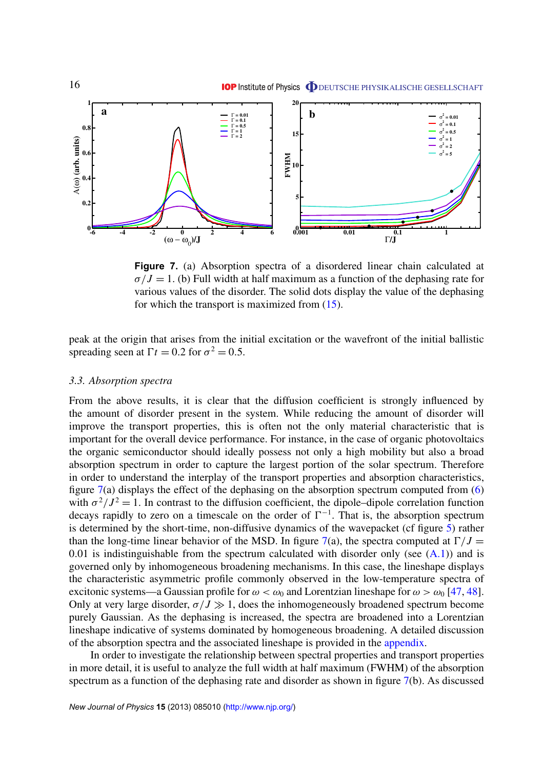<span id="page-16-0"></span>

**Figure 7.** (a) Absorption spectra of a disordered linear chain calculated at  $\sigma/J = 1$ . (b) Full width at half maximum as a function of the dephasing rate for various values of the disorder. The solid dots display the value of the dephasing for which the transport is maximized from [\(15\)](#page-9-0).

peak at the origin that arises from the initial excitation or the wavefront of the initial ballistic spreading seen at  $\Gamma t = 0.2$  for  $\sigma^2 = 0.5$ .

#### *3.3. Absorption spectra*

From the above results, it is clear that the diffusion coefficient is strongly influenced by the amount of disorder present in the system. While reducing the amount of disorder will improve the transport properties, this is often not the only material characteristic that is important for the overall device performance. For instance, in the case of organic photovoltaics the organic semiconductor should ideally possess not only a high mobility but also a broad absorption spectrum in order to capture the largest portion of the solar spectrum. Therefore in order to understand the interplay of the transport properties and absorption characteristics, figure 7(a) displays the effect of the dephasing on the absorption spectrum computed from [\(6\)](#page-5-0) with  $\sigma^2/J^2 = 1$ . In contrast to the diffusion coefficient, the dipole–dipole correlation function decays rapidly to zero on a timescale on the order of  $\Gamma^{-1}$ . That is, the absorption spectrum is determined by the short-time, non-diffusive dynamics of the wavepacket (cf figure [5\)](#page-14-0) rather than the long-time linear behavior of the MSD. In figure 7(a), the spectra computed at  $\Gamma/J =$ 0.01 is indistinguishable from the spectrum calculated with disorder only (see  $(A.1)$ ) and is governed only by inhomogeneous broadening mechanisms. In this case, the lineshape displays the characteristic asymmetric profile commonly observed in the low-temperature spectra of excitonic systems—a Gaussian profile for  $\omega < \omega_0$  and Lorentzian lineshape for  $\omega > \omega_0$  [\[47,](#page-21-0) [48\]](#page-21-0). Only at very large disorder,  $\sigma / J \gg 1$ , does the inhomogeneously broadened spectrum become purely Gaussian. As the dephasing is increased, the spectra are broadened into a Lorentzian lineshape indicative of systems dominated by homogeneous broadening. A detailed discussion of the absorption spectra and the associated lineshape is provided in the [appendix.](#page-19-0)

In order to investigate the relationship between spectral properties and transport properties in more detail, it is useful to analyze the full width at half maximum (FWHM) of the absorption spectrum as a function of the dephasing rate and disorder as shown in figure 7(b). As discussed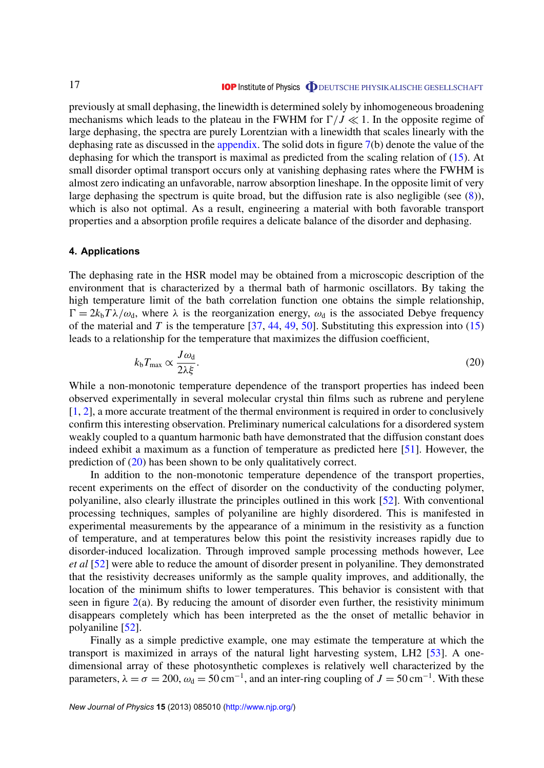<span id="page-17-0"></span>previously at small dephasing, the linewidth is determined solely by inhomogeneous broadening mechanisms which leads to the plateau in the FWHM for  $\Gamma/J \ll 1$ . In the opposite regime of large dephasing, the spectra are purely Lorentzian with a linewidth that scales linearly with the dephasing rate as discussed in the [appendix.](#page-19-0) The solid dots in figure [7\(](#page-16-0)b) denote the value of the dephasing for which the transport is maximal as predicted from the scaling relation of [\(15\)](#page-9-0). At small disorder optimal transport occurs only at vanishing dephasing rates where the FWHM is almost zero indicating an unfavorable, narrow absorption lineshape. In the opposite limit of very large dephasing the spectrum is quite broad, but the diffusion rate is also negligible (see [\(8\)](#page-6-0)), which is also not optimal. As a result, engineering a material with both favorable transport properties and a absorption profile requires a delicate balance of the disorder and dephasing.

#### **4. Applications**

The dephasing rate in the HSR model may be obtained from a microscopic description of the environment that is characterized by a thermal bath of harmonic oscillators. By taking the high temperature limit of the bath correlation function one obtains the simple relationship,  $\Gamma = 2k_bT\lambda/\omega_d$ , where  $\lambda$  is the reorganization energy,  $\omega_d$  is the associated Debye frequency of the material and *T* is the temperature  $[37, 44, 49, 50]$  $[37, 44, 49, 50]$  $[37, 44, 49, 50]$  $[37, 44, 49, 50]$  $[37, 44, 49, 50]$  $[37, 44, 49, 50]$  $[37, 44, 49, 50]$ . Substituting this expression into  $(15)$ leads to a relationship for the temperature that maximizes the diffusion coefficient,

$$
k_{\rm b}T_{\rm max} \propto \frac{J\omega_{\rm d}}{2\lambda\xi}.\tag{20}
$$

While a non-monotonic temperature dependence of the transport properties has indeed been observed experimentally in several molecular crystal thin films such as rubrene and perylene [\[1,](#page-20-0) [2\]](#page-20-0), a more accurate treatment of the thermal environment is required in order to conclusively confirm this interesting observation. Preliminary numerical calculations for a disordered system weakly coupled to a quantum harmonic bath have demonstrated that the diffusion constant does indeed exhibit a maximum as a function of temperature as predicted here [\[51\]](#page-21-0). However, the prediction of (20) has been shown to be only qualitatively correct.

In addition to the non-monotonic temperature dependence of the transport properties, recent experiments on the effect of disorder on the conductivity of the conducting polymer, polyaniline, also clearly illustrate the principles outlined in this work [\[52\]](#page-21-0). With conventional processing techniques, samples of polyaniline are highly disordered. This is manifested in experimental measurements by the appearance of a minimum in the resistivity as a function of temperature, and at temperatures below this point the resistivity increases rapidly due to disorder-induced localization. Through improved sample processing methods however, Lee *et al* [\[52\]](#page-21-0) were able to reduce the amount of disorder present in polyaniline. They demonstrated that the resistivity decreases uniformly as the sample quality improves, and additionally, the location of the minimum shifts to lower temperatures. This behavior is consistent with that seen in figure  $2(a)$  $2(a)$ . By reducing the amount of disorder even further, the resistivity minimum disappears completely which has been interpreted as the the onset of metallic behavior in polyaniline [\[52\]](#page-21-0).

Finally as a simple predictive example, one may estimate the temperature at which the transport is maximized in arrays of the natural light harvesting system, LH2 [\[53\]](#page-21-0). A onedimensional array of these photosynthetic complexes is relatively well characterized by the parameters,  $\lambda = \sigma = 200$ ,  $\omega_d = 50$  cm<sup>-1</sup>, and an inter-ring coupling of *J* = 50 cm<sup>-1</sup>. With these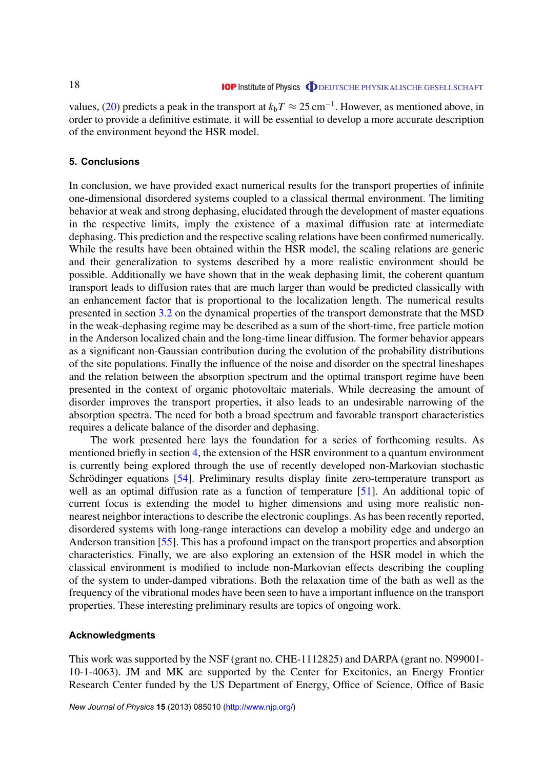<span id="page-18-0"></span>values, [\(20\)](#page-17-0) predicts a peak in the transport at  $k_bT \approx 25 \text{ cm}^{-1}$ . However, as mentioned above, in order to provide a definitive estimate, it will be essential to develop a more accurate description of the environment beyond the HSR model.

#### **5. Conclusions**

In conclusion, we have provided exact numerical results for the transport properties of infinite one-dimensional disordered systems coupled to a classical thermal environment. The limiting behavior at weak and strong dephasing, elucidated through the development of master equations in the respective limits, imply the existence of a maximal diffusion rate at intermediate dephasing. This prediction and the respective scaling relations have been confirmed numerically. While the results have been obtained within the HSR model, the scaling relations are generic and their generalization to systems described by a more realistic environment should be possible. Additionally we have shown that in the weak dephasing limit, the coherent quantum transport leads to diffusion rates that are much larger than would be predicted classically with an enhancement factor that is proportional to the localization length. The numerical results presented in section [3.2](#page-13-0) on the dynamical properties of the transport demonstrate that the MSD in the weak-dephasing regime may be described as a sum of the short-time, free particle motion in the Anderson localized chain and the long-time linear diffusion. The former behavior appears as a significant non-Gaussian contribution during the evolution of the probability distributions of the site populations. Finally the influence of the noise and disorder on the spectral lineshapes and the relation between the absorption spectrum and the optimal transport regime have been presented in the context of organic photovoltaic materials. While decreasing the amount of disorder improves the transport properties, it also leads to an undesirable narrowing of the absorption spectra. The need for both a broad spectrum and favorable transport characteristics requires a delicate balance of the disorder and dephasing.

The work presented here lays the foundation for a series of forthcoming results. As mentioned briefly in section [4,](#page-17-0) the extension of the HSR environment to a quantum environment is currently being explored through the use of recently developed non-Markovian stochastic Schrödinger equations [[54\]](#page-21-0). Preliminary results display finite zero-temperature transport as well as an optimal diffusion rate as a function of temperature [\[51\]](#page-21-0). An additional topic of current focus is extending the model to higher dimensions and using more realistic nonnearest neighbor interactions to describe the electronic couplings. As has been recently reported, disordered systems with long-range interactions can develop a mobility edge and undergo an Anderson transition [\[55\]](#page-21-0). This has a profound impact on the transport properties and absorption characteristics. Finally, we are also exploring an extension of the HSR model in which the classical environment is modified to include non-Markovian effects describing the coupling of the system to under-damped vibrations. Both the relaxation time of the bath as well as the frequency of the vibrational modes have been seen to have a important influence on the transport properties. These interesting preliminary results are topics of ongoing work.

#### **Acknowledgments**

This work was supported by the NSF (grant no. CHE-1112825) and DARPA (grant no. N99001- 10-1-4063). JM and MK are supported by the Center for Excitonics, an Energy Frontier Research Center funded by the US Department of Energy, Office of Science, Office of Basic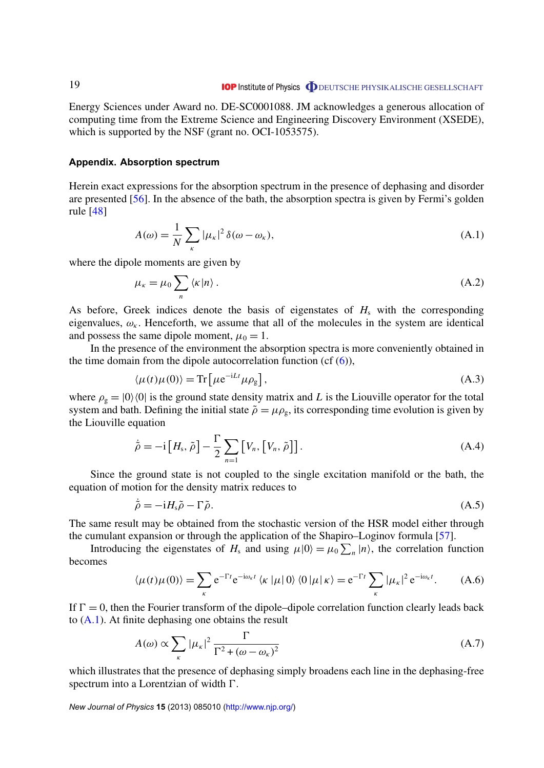<span id="page-19-0"></span>Energy Sciences under Award no. DE-SC0001088. JM acknowledges a generous allocation of computing time from the Extreme Science and Engineering Discovery Environment (XSEDE), which is supported by the NSF (grant no. OCI-1053575).

#### **Appendix. Absorption spectrum**

Herein exact expressions for the absorption spectrum in the presence of dephasing and disorder are presented [\[56\]](#page-21-0). In the absence of the bath, the absorption spectra is given by Fermi's golden rule [\[48\]](#page-21-0)

$$
A(\omega) = \frac{1}{N} \sum_{\kappa} |\mu_{\kappa}|^2 \delta(\omega - \omega_{\kappa}), \tag{A.1}
$$

where the dipole moments are given by

$$
\mu_{\kappa} = \mu_0 \sum_n \langle \kappa | n \rangle \,. \tag{A.2}
$$

As before, Greek indices denote the basis of eigenstates of  $H<sub>s</sub>$  with the corresponding eigenvalues,  $\omega_{\kappa}$ . Henceforth, we assume that all of the molecules in the system are identical and possess the same dipole moment,  $\mu_0 = 1$ .

In the presence of the environment the absorption spectra is more conveniently obtained in the time domain from the dipole autocorrelation function (cf  $(6)$ ),

$$
\langle \mu(t)\mu(0)\rangle = \text{Tr}\left[\mu e^{-iLt}\mu \rho_{g}\right],\tag{A.3}
$$

where  $\rho_{\rm g} = |0\rangle\langle0|$  is the ground state density matrix and *L* is the Liouville operator for the total system and bath. Defining the initial state  $\tilde{\rho} = \mu \rho_{\rm g}$ , its corresponding time evolution is given by the Liouville equation

$$
\dot{\tilde{\rho}} = -i \left[ H_s, \tilde{\rho} \right] - \frac{\Gamma}{2} \sum_{n=1} \left[ V_n, \left[ V_n, \tilde{\rho} \right] \right]. \tag{A.4}
$$

Since the ground state is not coupled to the single excitation manifold or the bath, the equation of motion for the density matrix reduces to

$$
\dot{\tilde{\rho}} = -iH_{\rm s}\tilde{\rho} - \Gamma\tilde{\rho}.\tag{A.5}
$$

The same result may be obtained from the stochastic version of the HSR model either through the cumulant expansion or through the application of the Shapiro–Loginov formula [\[57\]](#page-21-0).

Introducing the eigenstates of  $H_s$  and using  $\mu|0\rangle = \mu_0 \sum_n |n\rangle$ , the correlation function becomes

$$
\langle \mu(t)\mu(0)\rangle = \sum_{\kappa} e^{-\Gamma t} e^{-i\omega_{\kappa}t} \langle \kappa | \mu | 0 \rangle \langle 0 | \mu | \kappa \rangle = e^{-\Gamma t} \sum_{\kappa} |\mu_{\kappa}|^2 e^{-i\omega_{\kappa}t}.
$$
 (A.6)

If  $\Gamma = 0$ , then the Fourier transform of the dipole–dipole correlation function clearly leads back to (A.1). At finite dephasing one obtains the result

$$
A(\omega) \propto \sum_{\kappa} |\mu_{\kappa}|^2 \frac{\Gamma}{\Gamma^2 + (\omega - \omega_{\kappa})^2}
$$
 (A.7)

which illustrates that the presence of dephasing simply broadens each line in the dephasing-free spectrum into a Lorentzian of width  $\Gamma$ .

*New Journal of Physics* **15** (2013) 085010 [\(http://www.njp.org/\)](http://www.njp.org/)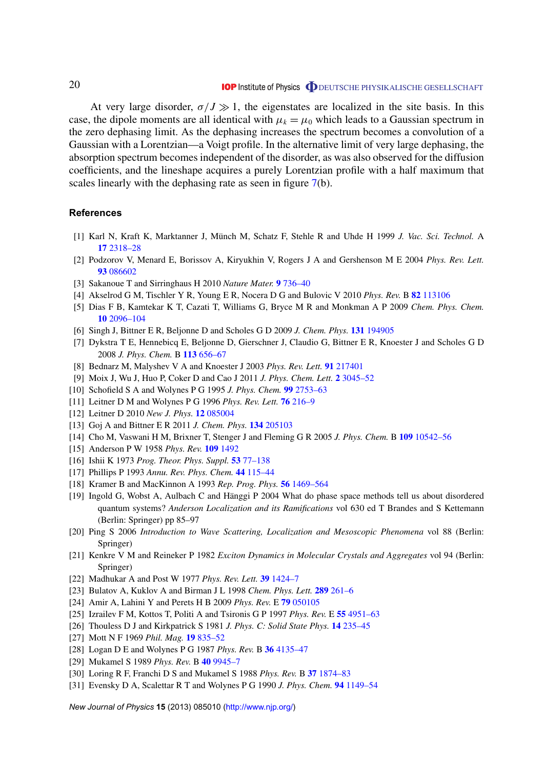<span id="page-20-0"></span>At very large disorder,  $\sigma/J \gg 1$ , the eigenstates are localized in the site basis. In this case, the dipole moments are all identical with  $\mu_k = \mu_0$  which leads to a Gaussian spectrum in the zero dephasing limit. As the dephasing increases the spectrum becomes a convolution of a Gaussian with a Lorentzian—a Voigt profile. In the alternative limit of very large dephasing, the absorption spectrum becomes independent of the disorder, as was also observed for the diffusion coefficients, and the lineshape acquires a purely Lorentzian profile with a half maximum that scales linearly with the dephasing rate as seen in figure [7\(](#page-16-0)b).

#### **References**

- [1] Karl N, Kraft K, Marktanner J, Münch M, Schatz F, Stehle R and Uhde H 1999 *J, Vac. Sci. Technol.* A **17** [2318–28](http://dx.doi.org/10.1116/1.581767)
- [2] Podzorov V, Menard E, Borissov A, Kiryukhin V, Rogers J A and Gershenson M E 2004 *Phys. Rev. Lett.* **93** [086602](http://dx.doi.org/10.1103/PhysRevLett.93.086602)
- [3] Sakanoue T and Sirringhaus H 2010 *Nature Mater.* **9** [736–40](http://dx.doi.org/10.1038/nmat2825)
- [4] Akselrod G M, Tischler Y R, Young E R, Nocera D G and Bulovic V 2010 *Phys. Rev.* B **82** [113106](http://dx.doi.org/10.1103/PhysRevB.82.113106)
- [5] Dias F B, Kamtekar K T, Cazati T, Williams G, Bryce M R and Monkman A P 2009 *Chem. Phys. Chem.* **10** [2096–104](http://dx.doi.org/10.1002/cphc.200900112)
- [6] Singh J, Bittner E R, Beljonne D and Scholes G D 2009 *J. Chem. Phys.* **131** [194905](http://dx.doi.org/10.1063/1.3259549)
- [7] Dykstra T E, Hennebicq E, Beljonne D, Gierschner J, Claudio G, Bittner E R, Knoester J and Scholes G D 2008 *J. Phys. Chem.* B **113** [656–67](http://dx.doi.org/10.1021/jp807249b)
- [8] Bednarz M, Malyshev V A and Knoester J 2003 *Phys. Rev. Lett.* **91** [217401](http://dx.doi.org/10.1103/PhysRevLett.91.217401)
- [9] Moix J, Wu J, Huo P, Coker D and Cao J 2011 *J. Phys. Chem. Lett.* **2** [3045–52](http://dx.doi.org/10.1021/jz201259v)
- [10] Schofield S A and Wolynes P G 1995 *J. Phys. Chem.* **99** [2753–63](http://dx.doi.org/10.1021/j100009a034)
- [11] Leitner D M and Wolynes P G 1996 *Phys. Rev. Lett.* **76** [216–9](http://dx.doi.org/10.1103/PhysRevLett.76.216)
- [12] Leitner D 2010 *New J. Phys.* **12** [085004](http://dx.doi.org/10.1088/1367-2630/12/8/085004)
- [13] Goj A and Bittner E R 2011 *J. Chem. Phys.* **134** [205103](http://dx.doi.org/10.1063/1.3592155)
- [14] Cho M, Vaswani H M, Brixner T, Stenger J and Fleming G R 2005 *J. Phys. Chem.* B **109** [10542–56](http://dx.doi.org/10.1021/jp050788d)
- [15] Anderson P W 1958 *Phys. Rev.* **109** [1492](http://dx.doi.org/10.1103/PhysRev.109.1492)
- [16] Ishii K 1973 *Prog. Theor. Phys. Suppl.* **53** [77–138](http://dx.doi.org/10.1143/PTPS.53.77)
- [17] Phillips P 1993 *Annu. Rev. Phys. Chem.* **44** [115–44](http://dx.doi.org/10.1146/annurev.pc.44.100193.000555)
- [18] Kramer B and MacKinnon A 1993 *Rep. Prog. Phys.* **56** [1469–564](http://dx.doi.org/10.1088/0034-4885/56/12/001)
- [19] Ingold G, Wobst A, Aulbach C and Hänggi P 2004 What do phase space methods tell us about disordered quantum systems? *Anderson Localization and its Ramifications* vol 630 ed T Brandes and S Kettemann (Berlin: Springer) pp 85–97
- [20] Ping S 2006 *Introduction to Wave Scattering, Localization and Mesoscopic Phenomena* vol 88 (Berlin: Springer)
- [21] Kenkre V M and Reineker P 1982 *Exciton Dynamics in Molecular Crystals and Aggregates* vol 94 (Berlin: Springer)
- [22] Madhukar A and Post W 1977 *Phys. Rev. Lett.* **39** [1424–7](http://dx.doi.org/10.1103/PhysRevLett.39.1424)
- [23] Bulatov A, Kuklov A and Birman J L 1998 *Chem. Phys. Lett.* **289** [261–6](http://dx.doi.org/10.1016/S0009-2614(98)00411-4)
- [24] Amir A, Lahini Y and Perets H B 2009 *Phys. Rev.* E **79** [050105](http://dx.doi.org/10.1103/PhysRevE.79.050105)
- [25] Izrailev F M, Kottos T, Politi A and Tsironis G P 1997 *Phys. Rev.* E **55** [4951–63](http://dx.doi.org/10.1103/PhysRevE.55.4951)
- [26] Thouless D J and Kirkpatrick S 1981 *J. Phys. C: Solid State Phys.* **14** [235–45](http://dx.doi.org/10.1088/0022-3719/14/3/007)
- [27] Mott N F 1969 *Phil. Mag.* **19** [835–52](http://dx.doi.org/10.1080/14786436908216338)
- [28] Logan D E and Wolynes P G 1987 *Phys. Rev.* B **36** [4135–47](http://dx.doi.org/10.1103/PhysRevB.36.4135)
- [29] Mukamel S 1989 *Phys. Rev.* B **40** [9945–7](http://dx.doi.org/10.1103/PhysRevB.40.9945)
- [30] Loring R F, Franchi D S and Mukamel S 1988 *Phys. Rev.* B **37** [1874–83](http://dx.doi.org/10.1103/PhysRevB.37.1874)
- [31] Evensky D A, Scalettar R T and Wolynes P G 1990 *J. Phys. Chem.* **94** [1149–54](http://dx.doi.org/10.1021/j100366a027)

*New Journal of Physics* **15** (2013) 085010 [\(http://www.njp.org/\)](http://www.njp.org/)